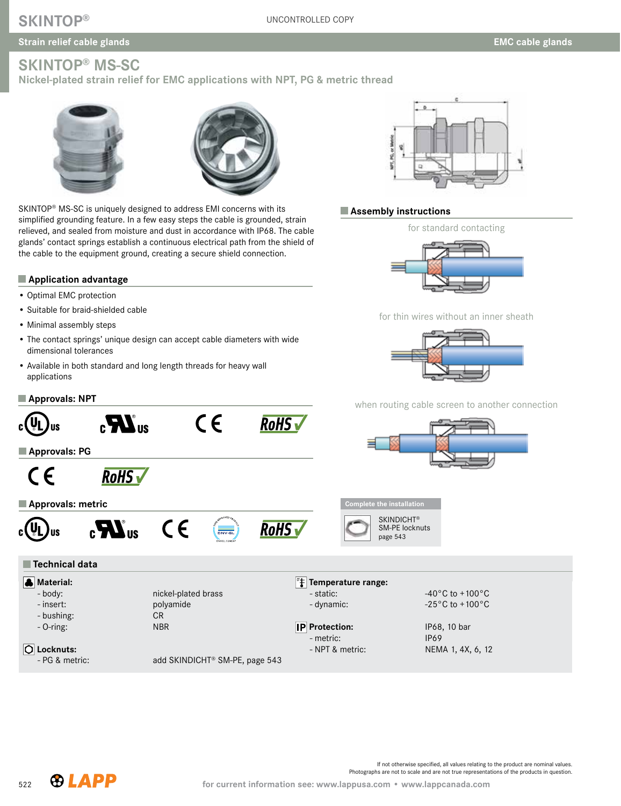# **SKINTOP®**

# **Strain relief cable glands SKINTOP® MS-SC**

**Nickel-plated strain relief for EMC applications with NPT, PG & metric thread**





SKINTOP® MS-SC is uniquely designed to address EMI concerns with its simplified grounding feature. In a few easy steps the cable is grounded, strain relieved, and sealed from moisture and dust in accordance with IP68. The cable glands' contact springs establish a continuous electrical path from the shield of the cable to the equipment ground, creating a secure shield connection.

#### **Application advantage**

- Optimal EMC protection
- Suitable for braid-shielded cable
- Minimal assembly steps
- The contact springs' unique design can accept cable diameters with wide dimensional tolerances
- Available in both standard and long length threads for heavy wall applications

### **Approvals: NPT**



#### **Assembly instructions**

for standard contacting



for thin wires without an inner sheath



when routing cable screen to another connection  $\epsilon$  $\mathbb{Z}$ **RoHS US Approvals: PG**  $\epsilon$ **RoHS Approvals: metric Complete the installation SKINDICHT®**  $\epsilon$ **RoHS** v  $\mathbf{L}_{\text{IIS}}$ SM-PE locknuts **US** page 543  **Technical data Material: Temperature range:** - body: nickel-plated brass  $-40^{\circ}$ C to +100 $^{\circ}$ C - insert: polyamide  $-$  dynamic:  $-25^{\circ}$ C to  $+100^{\circ}$ C - bushing: CR - O-ring: NBR **IP** Protection: IP68, 10 bar - metric: IP69  **Locknuts:** - NPT & metric: NEMA 1, 4X, 6, 12 - PG & metric: add SKINDICHT® SM-PE, page 543